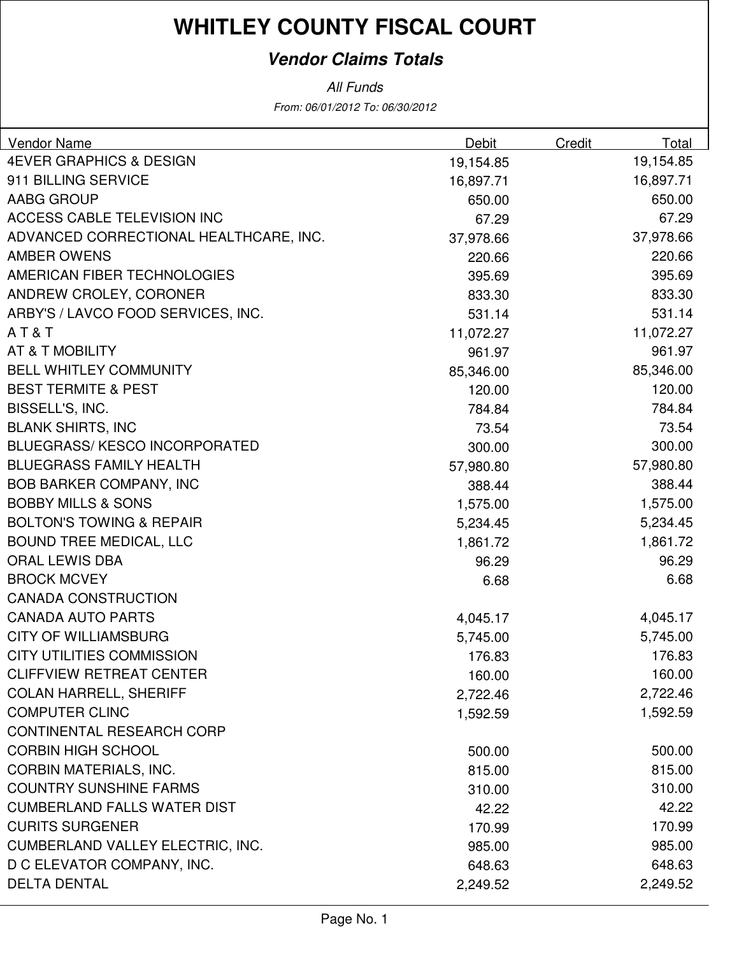## **Vendor Claims Totals**

From: 06/01/2012 To: 06/30/2012 All Funds

| Vendor Name                            | <b>Debit</b> | Credit | Total     |
|----------------------------------------|--------------|--------|-----------|
| <b>4EVER GRAPHICS &amp; DESIGN</b>     | 19,154.85    |        | 19,154.85 |
| 911 BILLING SERVICE                    | 16,897.71    |        | 16,897.71 |
| AABG GROUP                             | 650.00       |        | 650.00    |
| <b>ACCESS CABLE TELEVISION INC</b>     | 67.29        |        | 67.29     |
| ADVANCED CORRECTIONAL HEALTHCARE, INC. | 37,978.66    |        | 37,978.66 |
| <b>AMBER OWENS</b>                     | 220.66       |        | 220.66    |
| AMERICAN FIBER TECHNOLOGIES            | 395.69       |        | 395.69    |
| ANDREW CROLEY, CORONER                 | 833.30       |        | 833.30    |
| ARBY'S / LAVCO FOOD SERVICES, INC.     | 531.14       |        | 531.14    |
| AT&T                                   | 11,072.27    |        | 11,072.27 |
| <b>AT &amp; T MOBILITY</b>             | 961.97       |        | 961.97    |
| <b>BELL WHITLEY COMMUNITY</b>          | 85,346.00    |        | 85,346.00 |
| <b>BEST TERMITE &amp; PEST</b>         | 120.00       |        | 120.00    |
| BISSELL'S, INC.                        | 784.84       |        | 784.84    |
| <b>BLANK SHIRTS, INC</b>               | 73.54        |        | 73.54     |
| <b>BLUEGRASS/KESCO INCORPORATED</b>    | 300.00       |        | 300.00    |
| <b>BLUEGRASS FAMILY HEALTH</b>         | 57,980.80    |        | 57,980.80 |
| <b>BOB BARKER COMPANY, INC</b>         | 388.44       |        | 388.44    |
| <b>BOBBY MILLS &amp; SONS</b>          | 1,575.00     |        | 1,575.00  |
| <b>BOLTON'S TOWING &amp; REPAIR</b>    | 5,234.45     |        | 5,234.45  |
| <b>BOUND TREE MEDICAL, LLC</b>         | 1,861.72     |        | 1,861.72  |
| ORAL LEWIS DBA                         | 96.29        |        | 96.29     |
| <b>BROCK MCVEY</b>                     | 6.68         |        | 6.68      |
| <b>CANADA CONSTRUCTION</b>             |              |        |           |
| <b>CANADA AUTO PARTS</b>               | 4,045.17     |        | 4,045.17  |
| <b>CITY OF WILLIAMSBURG</b>            | 5,745.00     |        | 5,745.00  |
| <b>CITY UTILITIES COMMISSION</b>       | 176.83       |        | 176.83    |
| <b>CLIFFVIEW RETREAT CENTER</b>        | 160.00       |        | 160.00    |
| <b>COLAN HARRELL, SHERIFF</b>          | 2,722.46     |        | 2,722.46  |
| <b>COMPUTER CLINC</b>                  | 1,592.59     |        | 1,592.59  |
| <b>CONTINENTAL RESEARCH CORP</b>       |              |        |           |
| <b>CORBIN HIGH SCHOOL</b>              | 500.00       |        | 500.00    |
| <b>CORBIN MATERIALS, INC.</b>          | 815.00       |        | 815.00    |
| <b>COUNTRY SUNSHINE FARMS</b>          | 310.00       |        | 310.00    |
| <b>CUMBERLAND FALLS WATER DIST</b>     | 42.22        |        | 42.22     |
| <b>CURITS SURGENER</b>                 | 170.99       |        | 170.99    |
| CUMBERLAND VALLEY ELECTRIC, INC.       | 985.00       |        | 985.00    |
| D C ELEVATOR COMPANY, INC.             | 648.63       |        | 648.63    |
| <b>DELTA DENTAL</b>                    | 2,249.52     |        | 2,249.52  |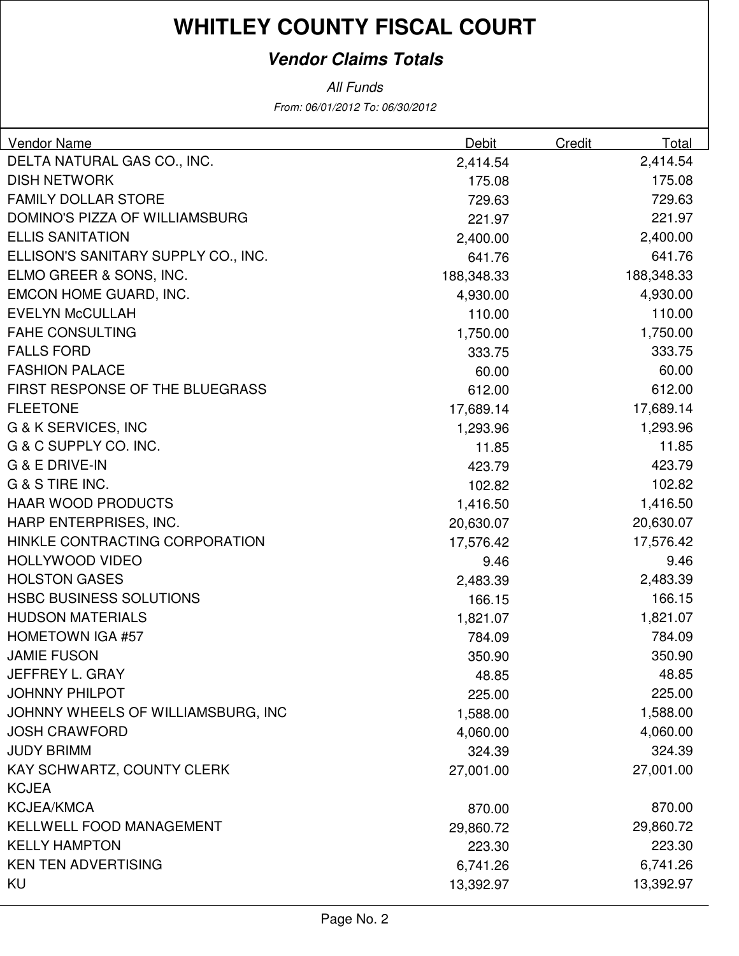## **Vendor Claims Totals**

From: 06/01/2012 To: 06/30/2012 All Funds

| <b>Vendor Name</b>                  | <b>Debit</b> | Credit | Total      |
|-------------------------------------|--------------|--------|------------|
| DELTA NATURAL GAS CO., INC.         | 2,414.54     |        | 2,414.54   |
| <b>DISH NETWORK</b>                 | 175.08       |        | 175.08     |
| <b>FAMILY DOLLAR STORE</b>          | 729.63       |        | 729.63     |
| DOMINO'S PIZZA OF WILLIAMSBURG      | 221.97       |        | 221.97     |
| <b>ELLIS SANITATION</b>             | 2,400.00     |        | 2,400.00   |
| ELLISON'S SANITARY SUPPLY CO., INC. | 641.76       |        | 641.76     |
| ELMO GREER & SONS, INC.             | 188,348.33   |        | 188,348.33 |
| EMCON HOME GUARD, INC.              | 4,930.00     |        | 4,930.00   |
| <b>EVELYN McCULLAH</b>              | 110.00       |        | 110.00     |
| <b>FAHE CONSULTING</b>              | 1,750.00     |        | 1,750.00   |
| <b>FALLS FORD</b>                   | 333.75       |        | 333.75     |
| <b>FASHION PALACE</b>               | 60.00        |        | 60.00      |
| FIRST RESPONSE OF THE BLUEGRASS     | 612.00       |        | 612.00     |
| <b>FLEETONE</b>                     | 17,689.14    |        | 17,689.14  |
| G & K SERVICES, INC                 | 1,293.96     |        | 1,293.96   |
| G & C SUPPLY CO. INC.               | 11.85        |        | 11.85      |
| <b>G &amp; E DRIVE-IN</b>           | 423.79       |        | 423.79     |
| G & S TIRE INC.                     | 102.82       |        | 102.82     |
| <b>HAAR WOOD PRODUCTS</b>           | 1,416.50     |        | 1,416.50   |
| HARP ENTERPRISES, INC.              | 20,630.07    |        | 20,630.07  |
| HINKLE CONTRACTING CORPORATION      | 17,576.42    |        | 17,576.42  |
| <b>HOLLYWOOD VIDEO</b>              | 9.46         |        | 9.46       |
| <b>HOLSTON GASES</b>                | 2,483.39     |        | 2,483.39   |
| <b>HSBC BUSINESS SOLUTIONS</b>      | 166.15       |        | 166.15     |
| <b>HUDSON MATERIALS</b>             | 1,821.07     |        | 1,821.07   |
| <b>HOMETOWN IGA #57</b>             | 784.09       |        | 784.09     |
| <b>JAMIE FUSON</b>                  | 350.90       |        | 350.90     |
| JEFFREY L. GRAY                     | 48.85        |        | 48.85      |
| <b>JOHNNY PHILPOT</b>               | 225.00       |        | 225.00     |
| JOHNNY WHEELS OF WILLIAMSBURG, INC  | 1,588.00     |        | 1,588.00   |
| <b>JOSH CRAWFORD</b>                | 4,060.00     |        | 4,060.00   |
| <b>JUDY BRIMM</b>                   | 324.39       |        | 324.39     |
| KAY SCHWARTZ, COUNTY CLERK          | 27,001.00    |        | 27,001.00  |
| <b>KCJEA</b>                        |              |        |            |
| <b>KCJEA/KMCA</b>                   | 870.00       |        | 870.00     |
| KELLWELL FOOD MANAGEMENT            | 29,860.72    |        | 29,860.72  |
| <b>KELLY HAMPTON</b>                | 223.30       |        | 223.30     |
| <b>KEN TEN ADVERTISING</b>          | 6,741.26     |        | 6,741.26   |
| KU                                  | 13,392.97    |        | 13,392.97  |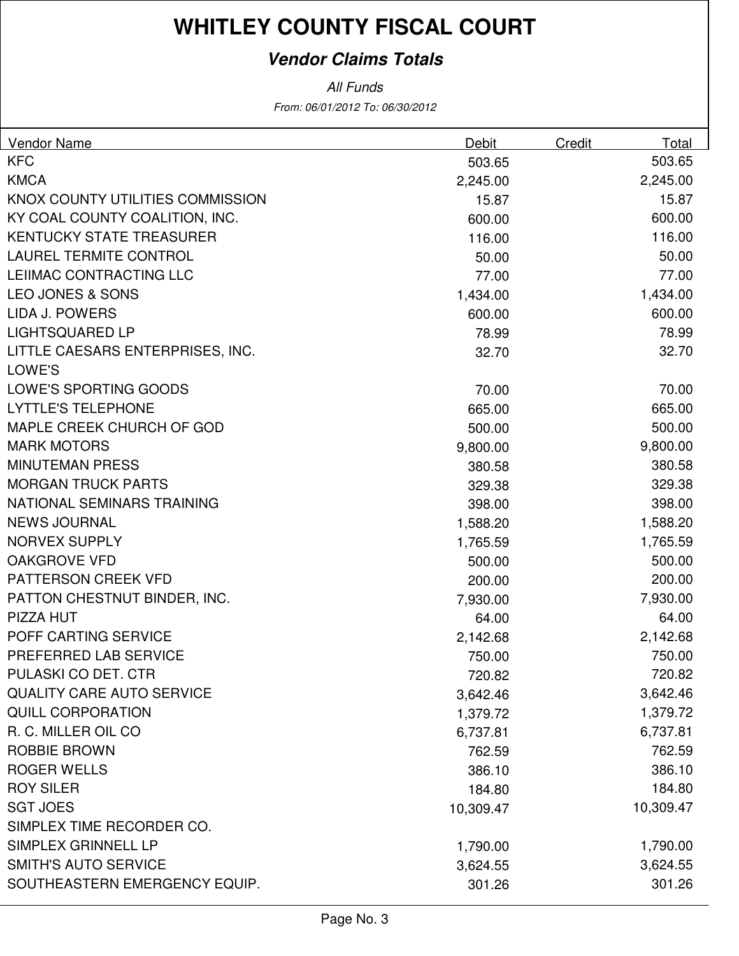## **Vendor Claims Totals**

All Funds

From: 06/01/2012 To: 06/30/2012

| <b>Vendor Name</b>               | Debit     | Credit | Total     |
|----------------------------------|-----------|--------|-----------|
| <b>KFC</b>                       | 503.65    |        | 503.65    |
| <b>KMCA</b>                      | 2,245.00  |        | 2,245.00  |
| KNOX COUNTY UTILITIES COMMISSION | 15.87     |        | 15.87     |
| KY COAL COUNTY COALITION, INC.   | 600.00    |        | 600.00    |
| <b>KENTUCKY STATE TREASURER</b>  | 116.00    |        | 116.00    |
| <b>LAUREL TERMITE CONTROL</b>    | 50.00     |        | 50.00     |
| LEIIMAC CONTRACTING LLC          | 77.00     |        | 77.00     |
| <b>LEO JONES &amp; SONS</b>      | 1,434.00  |        | 1,434.00  |
| LIDA J. POWERS                   | 600.00    |        | 600.00    |
| <b>LIGHTSQUARED LP</b>           | 78.99     |        | 78.99     |
| LITTLE CAESARS ENTERPRISES, INC. | 32.70     |        | 32.70     |
| LOWE'S                           |           |        |           |
| LOWE'S SPORTING GOODS            | 70.00     |        | 70.00     |
| <b>LYTTLE'S TELEPHONE</b>        | 665.00    |        | 665.00    |
| MAPLE CREEK CHURCH OF GOD        | 500.00    |        | 500.00    |
| <b>MARK MOTORS</b>               | 9,800.00  |        | 9,800.00  |
| <b>MINUTEMAN PRESS</b>           | 380.58    |        | 380.58    |
| <b>MORGAN TRUCK PARTS</b>        | 329.38    |        | 329.38    |
| NATIONAL SEMINARS TRAINING       | 398.00    |        | 398.00    |
| <b>NEWS JOURNAL</b>              | 1,588.20  |        | 1,588.20  |
| <b>NORVEX SUPPLY</b>             | 1,765.59  |        | 1,765.59  |
| <b>OAKGROVE VFD</b>              | 500.00    |        | 500.00    |
| PATTERSON CREEK VFD              | 200.00    |        | 200.00    |
| PATTON CHESTNUT BINDER, INC.     | 7,930.00  |        | 7,930.00  |
| PIZZA HUT                        | 64.00     |        | 64.00     |
| POFF CARTING SERVICE             | 2,142.68  |        | 2,142.68  |
| PREFERRED LAB SERVICE            | 750.00    |        | 750.00    |
| PULASKI CO DET. CTR              | 720.82    |        | 720.82    |
| <b>QUALITY CARE AUTO SERVICE</b> | 3,642.46  |        | 3,642.46  |
| <b>QUILL CORPORATION</b>         | 1,379.72  |        | 1,379.72  |
| R. C. MILLER OIL CO              | 6,737.81  |        | 6,737.81  |
| ROBBIE BROWN                     | 762.59    |        | 762.59    |
| <b>ROGER WELLS</b>               | 386.10    |        | 386.10    |
| <b>ROY SILER</b>                 | 184.80    |        | 184.80    |
| <b>SGT JOES</b>                  | 10,309.47 |        | 10,309.47 |
| SIMPLEX TIME RECORDER CO.        |           |        |           |
| SIMPLEX GRINNELL LP              | 1,790.00  |        | 1,790.00  |
| <b>SMITH'S AUTO SERVICE</b>      | 3,624.55  |        | 3,624.55  |
| SOUTHEASTERN EMERGENCY EQUIP.    | 301.26    |        | 301.26    |